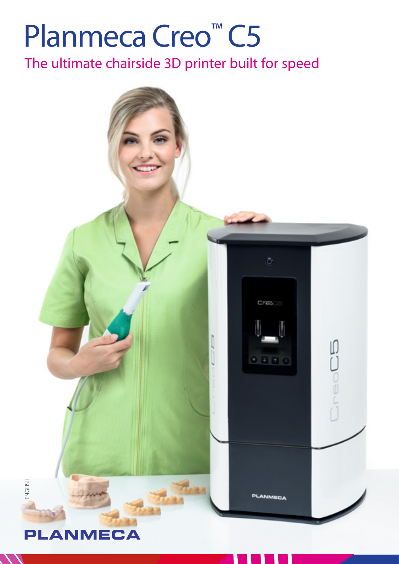## Planmeca Creo<sup>™</sup> C5

The ultimate chairside 3D printer built for speed

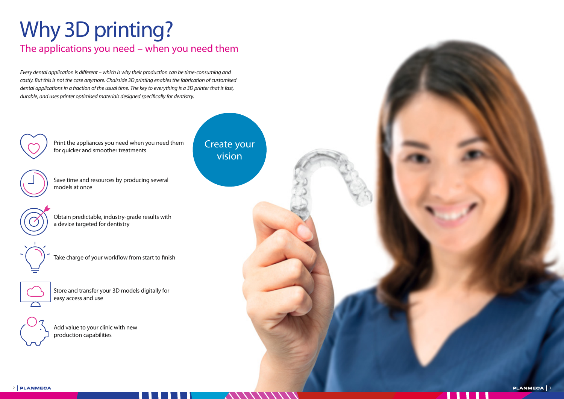

### Why 3D printing? The applications you need – when you need them

Every dental application is different – which is why their production can be time-consuming and costly. But this is not the case anymore. Chairside 3D printing enables the fabrication of customised dental applications in a fraction of the usual time. The key to everything is a 3D printer that is fast, durable, and uses printer optimised materials designed specifically for dentistry.



Print the appliances you need when you need them for quicker and smoother treatments



Save time and resources by producing several models at once



Obtain predictable, industry-grade results with a device targeted for dentistry



Take charge of your workflow from start to finish



Store and transfer your 3D models digitally for easy access and use

Add value to your clinic with new production capabilities

Create your vision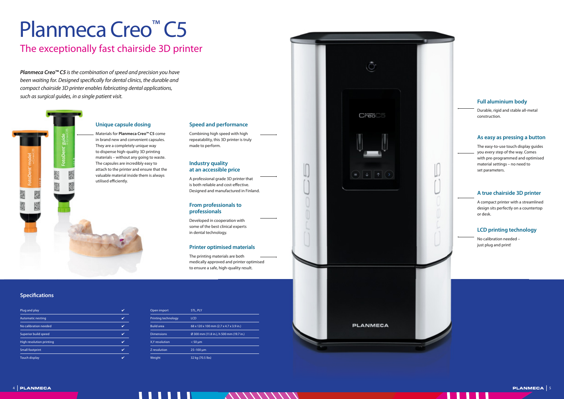4 5

# Planmeca Creo<sup>™</sup> C5

### The exceptionally fast chairside 3D printer

#### **LCD printing technology**

No calibration needed – just plug and print!

#### **From professionals to professionals**

Developed in cooperation with some of the best clinical experts in dental technology.

#### **Printer optimised materials**

The printing materials are both medically approved and printer optimised to ensure a safe, high-quality result.

#### **Specifications**

#### **Speed and performance**

Combining high speed with high repeatability, this 3D printer is truly made to perform.

#### **Industry quality at an accessible price**

A professional grade 3D printer that is both reliable and cost-effective. Designed and manufactured in Finland.

#### **Full aluminium body**

Durable, rigid and stable all-metal construction.

*Planmeca Creo™ C5* is the combination of speed and precision you have been waiting for. Designed specifically for dental clinics, the durable and compact chairside 3D printer enables fabricating dental applications, such as surgical guides, in a single patient visit.

#### **A true chairside 3D printer**

A compact printer with a streamlined design sits perfectly on a countertop or desk.

| Plug and play            |  |
|--------------------------|--|
| <b>Automatic nesting</b> |  |
| No calibration needed    |  |
| Superior build speed     |  |
| High resolution printing |  |
| <b>Small footprint</b>   |  |
| <b>Touch display</b>     |  |

| Open import         | <b>STL, PLY</b>                          |
|---------------------|------------------------------------------|
| Printing technology | <b>LCD</b>                               |
| <b>Build area</b>   | 68 x 120 x 100 mm (2.7 x 4.7 x 3.9 in.)  |
| <b>Dimensions</b>   | Ø 300 mm (11.8 in.), h 500 mm (19.7 in.) |
| X,Y resolution      | $< 50 \mu m$                             |
| Z resolution        | 25-100 um                                |
| Weight              | 32 kg (70.5 lbs)                         |



CredC5

ŋ

#### **As easy as pressing a button**

The easy-to-use touch display guides you every step of the way. Comes with pre-programmed and optimised material settings – no need to set parameters.

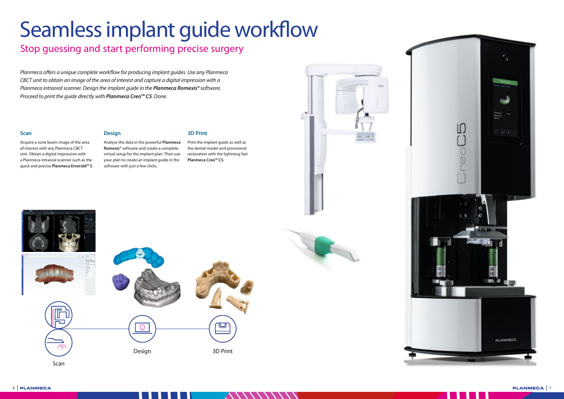## Seamless implant guide workflow

### Stop guessing and start performing precise surgery

Planmeca offers a unique complete workflow for producing implant guides. Use any Planmeca CBCT unit to obtain an image of the area of interest and capture a digital impression with a Planmeca intraoral scanner. Design the implant guide in the *Planmeca Romexis®* software. Proceed to print the guide directly with *Planmeca Creo™ C5*. Done.





#### **Scan**

#### Acquire a cone beam image of the area of interest with any Planmeca CBCT unit. Obtain a digital impression with a Planmeca intraoral scanner such as the quick and precise **Planmeca Emerald™ S**.

#### **Design**

Analyse the data in the powerful **Planmeca Romexis®** software and create a complete virtual setup for the implant plan. Then use your plan to create an implant guide in the software with just a few clicks.

**3D Print**

Print the implant guide as well as the dental model and provisional restoration with the lightning-fast **Planmeca Creo™ C5**.